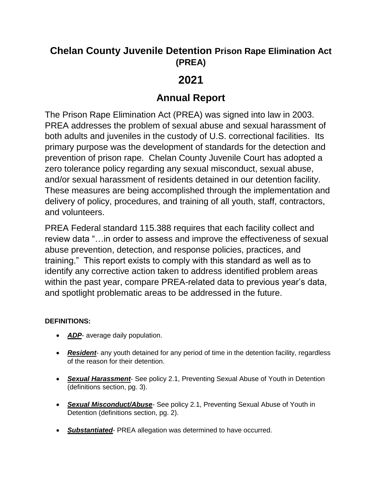### **Chelan County Juvenile Detention Prison Rape Elimination Act (PREA)**

# **2021**

## **Annual Report**

The Prison Rape Elimination Act (PREA) was signed into law in 2003. PREA addresses the problem of sexual abuse and sexual harassment of both adults and juveniles in the custody of U.S. correctional facilities. Its primary purpose was the development of standards for the detection and prevention of prison rape. Chelan County Juvenile Court has adopted a zero tolerance policy regarding any sexual misconduct, sexual abuse, and/or sexual harassment of residents detained in our detention facility. These measures are being accomplished through the implementation and delivery of policy, procedures, and training of all youth, staff, contractors, and volunteers.

PREA Federal standard 115.388 requires that each facility collect and review data "…in order to assess and improve the effectiveness of sexual abuse prevention, detection, and response policies, practices, and training." This report exists to comply with this standard as well as to identify any corrective action taken to address identified problem areas within the past year, compare PREA-related data to previous year's data, and spotlight problematic areas to be addressed in the future.

#### **DEFINITIONS:**

- *ADP* average daily population.
- **Resident** any youth detained for any period of time in the detention facility, regardless of the reason for their detention.
- *Sexual Harassment* See policy 2.1, Preventing Sexual Abuse of Youth in Detention (definitions section, pg. 3).
- *Sexual Misconduct/Abuse-* See policy 2.1, Preventing Sexual Abuse of Youth in Detention (definitions section, pg. 2).
- *Substantiated* PREA allegation was determined to have occurred.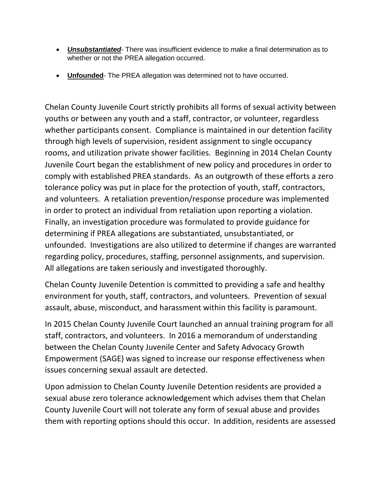- *Unsubstantiated* There was insufficient evidence to make a final determination as to whether or not the PREA allegation occurred.
- **Unfounded** The PREA allegation was determined not to have occurred.

Chelan County Juvenile Court strictly prohibits all forms of sexual activity between youths or between any youth and a staff, contractor, or volunteer, regardless whether participants consent. Compliance is maintained in our detention facility through high levels of supervision, resident assignment to single occupancy rooms, and utilization private shower facilities. Beginning in 2014 Chelan County Juvenile Court began the establishment of new policy and procedures in order to comply with established PREA standards. As an outgrowth of these efforts a zero tolerance policy was put in place for the protection of youth, staff, contractors, and volunteers. A retaliation prevention/response procedure was implemented in order to protect an individual from retaliation upon reporting a violation. Finally, an investigation procedure was formulated to provide guidance for determining if PREA allegations are substantiated, unsubstantiated, or unfounded. Investigations are also utilized to determine if changes are warranted regarding policy, procedures, staffing, personnel assignments, and supervision. All allegations are taken seriously and investigated thoroughly.

Chelan County Juvenile Detention is committed to providing a safe and healthy environment for youth, staff, contractors, and volunteers. Prevention of sexual assault, abuse, misconduct, and harassment within this facility is paramount.

In 2015 Chelan County Juvenile Court launched an annual training program for all staff, contractors, and volunteers. In 2016 a memorandum of understanding between the Chelan County Juvenile Center and Safety Advocacy Growth Empowerment (SAGE) was signed to increase our response effectiveness when issues concerning sexual assault are detected.

Upon admission to Chelan County Juvenile Detention residents are provided a sexual abuse zero tolerance acknowledgement which advises them that Chelan County Juvenile Court will not tolerate any form of sexual abuse and provides them with reporting options should this occur. In addition, residents are assessed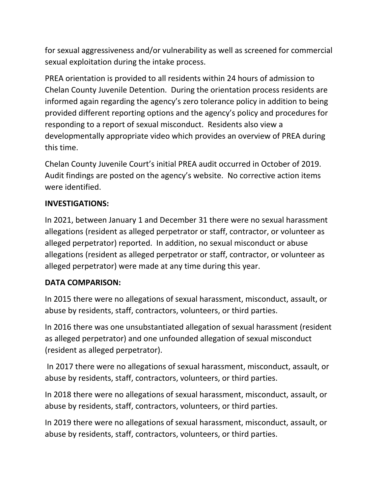for sexual aggressiveness and/or vulnerability as well as screened for commercial sexual exploitation during the intake process.

PREA orientation is provided to all residents within 24 hours of admission to Chelan County Juvenile Detention. During the orientation process residents are informed again regarding the agency's zero tolerance policy in addition to being provided different reporting options and the agency's policy and procedures for responding to a report of sexual misconduct. Residents also view a developmentally appropriate video which provides an overview of PREA during this time.

Chelan County Juvenile Court's initial PREA audit occurred in October of 2019. Audit findings are posted on the agency's website. No corrective action items were identified.

### **INVESTIGATIONS:**

In 2021, between January 1 and December 31 there were no sexual harassment allegations (resident as alleged perpetrator or staff, contractor, or volunteer as alleged perpetrator) reported. In addition, no sexual misconduct or abuse allegations (resident as alleged perpetrator or staff, contractor, or volunteer as alleged perpetrator) were made at any time during this year.

#### **DATA COMPARISON:**

In 2015 there were no allegations of sexual harassment, misconduct, assault, or abuse by residents, staff, contractors, volunteers, or third parties.

In 2016 there was one unsubstantiated allegation of sexual harassment (resident as alleged perpetrator) and one unfounded allegation of sexual misconduct (resident as alleged perpetrator).

In 2017 there were no allegations of sexual harassment, misconduct, assault, or abuse by residents, staff, contractors, volunteers, or third parties.

In 2018 there were no allegations of sexual harassment, misconduct, assault, or abuse by residents, staff, contractors, volunteers, or third parties.

In 2019 there were no allegations of sexual harassment, misconduct, assault, or abuse by residents, staff, contractors, volunteers, or third parties.